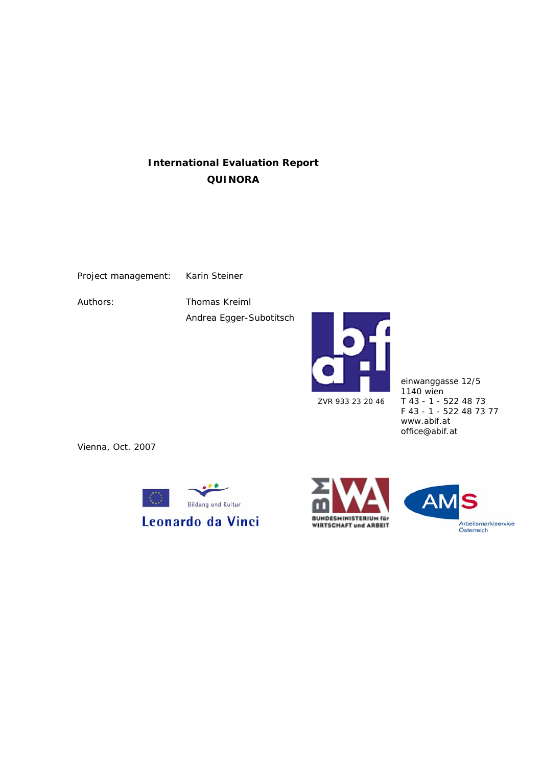# **International Evaluation Report QUINORA**

Project management: Karin Steiner

Authors: Thomas Kreiml Andrea Egger-Subotitsch



einwanggasse 12/5 1140 wien T 43 - 1 - 522 48 73 F 43 - 1 - 522 48 73 77 www.abif.at office@abif.at

Vienna, Oct. 2007





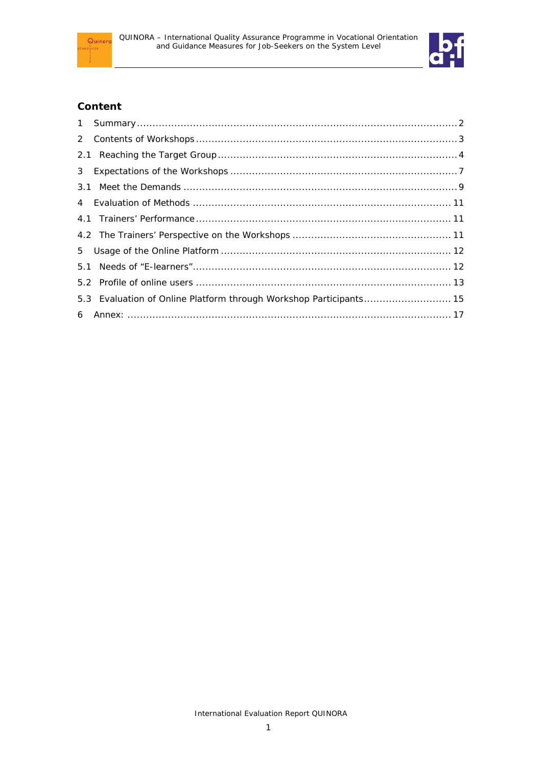



## **Content**

| 5.3 Evaluation of Online Platform through Workshop Participants 15 |  |
|--------------------------------------------------------------------|--|
|                                                                    |  |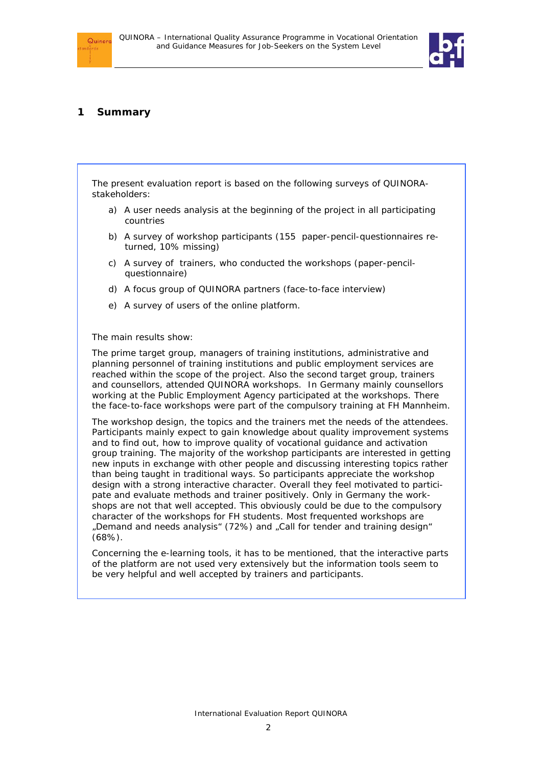

## **1 Summary**

 $Quinor$ 

The present evaluation report is based on the following surveys of QUINORAstakeholders:

- a) A user needs analysis at the beginning of the project in all participating countries
- b) A survey of workshop participants (155 paper-pencil-questionnaires returned, 10% missing)
- c) A survey of trainers, who conducted the workshops (paper-pencilquestionnaire)
- d) A focus group of QUINORA partners (face-to-face interview)
- e) A survey of users of the online platform.

#### The main results show:

The prime target group, managers of training institutions, administrative and planning personnel of training institutions and public employment services are reached within the scope of the project. Also the second target group, trainers and counsellors, attended QUINORA workshops. In Germany mainly counsellors working at the Public Employment Agency participated at the workshops. There the face-to-face workshops were part of the compulsory training at FH Mannheim.

The workshop design, the topics and the trainers met the needs of the attendees. Participants mainly expect to gain knowledge about quality improvement systems and to find out, how to improve quality of vocational guidance and activation group training. The majority of the workshop participants are interested in getting new inputs in exchange with other people and discussing interesting topics rather than being taught in traditional ways. So participants appreciate the workshop design with a strong interactive character. Overall they feel motivated to participate and evaluate methods and trainer positively. Only in Germany the workshops are not that well accepted. This obviously could be due to the compulsory character of the workshops for FH students. Most frequented workshops are "Demand and needs analysis" (72%) and "Call for tender and training design" (68%).

Concerning the e-learning tools, it has to be mentioned, that the interactive parts of the platform are not used very extensively but the information tools seem to be very helpful and well accepted by trainers and participants.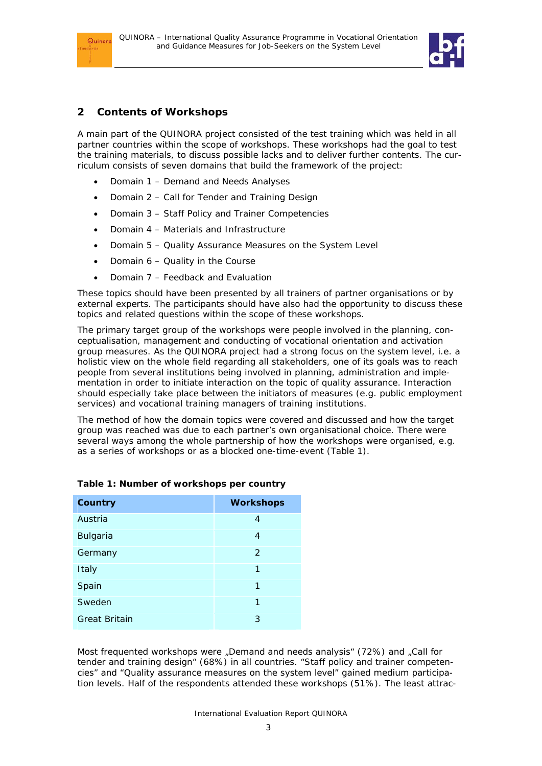



## **2 Contents of Workshops**

A main part of the QUINORA project consisted of the test training which was held in all partner countries within the scope of workshops. These workshops had the goal to test the training materials, to discuss possible lacks and to deliver further contents. The curriculum consists of seven domains that build the framework of the project:

- Domain 1 Demand and Needs Analyses
- Domain 2 Call for Tender and Training Design
- Domain 3 Staff Policy and Trainer Competencies
- Domain 4 Materials and Infrastructure
- Domain 5 Quality Assurance Measures on the System Level
- Domain 6 Quality in the Course
- Domain 7 Feedback and Evaluation

These topics should have been presented by all trainers of partner organisations or by external experts. The participants should have also had the opportunity to discuss these topics and related questions within the scope of these workshops.

The primary target group of the workshops were people involved in the planning, conceptualisation, management and conducting of vocational orientation and activation group measures. As the QUINORA project had a strong focus on the system level, i.e. a holistic view on the whole field regarding all stakeholders, one of its goals was to reach people from several institutions being involved in planning, administration and implementation in order to initiate interaction on the topic of quality assurance. Interaction should especially take place between the initiators of measures (e.g. public employment services) and vocational training managers of training institutions.

The method of how the domain topics were covered and discussed and how the target group was reached was due to each partner's own organisational choice. There were several ways among the whole partnership of how the workshops were organised, e.g. as a series of workshops or as a blocked one-time-event (Table 1).

| Country              | <b>Workshops</b> |
|----------------------|------------------|
| Austria              | 4                |
| <b>Bulgaria</b>      | 4                |
| Germany              | 2                |
| Italy                | 1                |
| Spain                | 1                |
| Sweden               | 1                |
| <b>Great Britain</b> | 3                |

|  |  | Table 1: Number of workshops per country |  |
|--|--|------------------------------------------|--|
|  |  |                                          |  |

Most frequented workshops were "Demand and needs analysis" (72%) and "Call for tender and training design" (68%) in all countries. "Staff policy and trainer competencies" and "Quality assurance measures on the system level" gained medium participation levels. Half of the respondents attended these workshops (51%). The least attrac-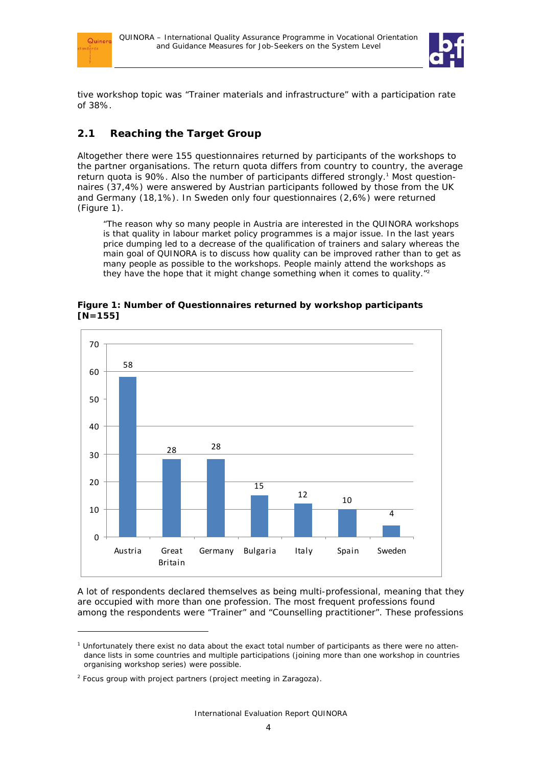



tive workshop topic was "Trainer materials and infrastructure" with a participation rate of 38%.

## **2.1 Reaching the Target Group**

Altogether there were 155 questionnaires returned by participants of the workshops to the partner organisations. The return quota differs from country to country, the average return quota is 90%. Also the number of participants differed strongly.<sup>1</sup> Most questionnaires (37,4%) were answered by Austrian participants followed by those from the UK and Germany (18,1%). In Sweden only four questionnaires (2,6%) were returned (Figure 1).

"The reason why so many people in Austria are interested in the QUINORA workshops is that quality in labour market policy programmes is a major issue. In the last years price dumping led to a decrease of the qualification of trainers and salary whereas the main goal of QUINORA is to discuss how quality can be improved rather than to get as many people as possible to the workshops. People mainly attend the workshops as they have the hope that it might change something when it comes to quality."<sup>2</sup>



**Figure 1: Number of Questionnaires returned by workshop participants [N=155]** 

A lot of respondents declared themselves as being multi-professional, meaning that they are occupied with more than one profession. The most frequent professions found among the respondents were "Trainer" and "Counselling practitioner". These professions

-

<sup>&</sup>lt;sup>1</sup> Unfortunately there exist no data about the exact total number of participants as there were no attendance lists in some countries and multiple participations (joining more than one workshop in countries organising workshop series) were possible.

 $2$  Focus group with project partners (project meeting in Zaragoza).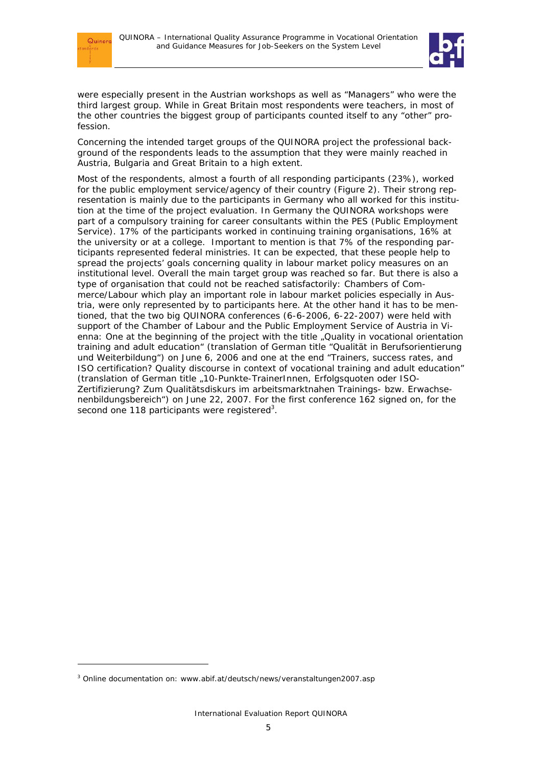

-



were especially present in the Austrian workshops as well as "Managers" who were the third largest group. While in Great Britain most respondents were teachers, in most of the other countries the biggest group of participants counted itself to any "other" profession.

Concerning the intended target groups of the QUINORA project the professional background of the respondents leads to the assumption that they were mainly reached in Austria, Bulgaria and Great Britain to a high extent.

Most of the respondents, almost a fourth of all responding participants (23%), worked for the public employment service/agency of their country (Figure 2). Their strong representation is mainly due to the participants in Germany who all worked for this institution at the time of the project evaluation. In Germany the QUINORA workshops were part of a compulsory training for career consultants within the PES (Public Employment Service). 17% of the participants worked in continuing training organisations, 16% at the university or at a college. Important to mention is that 7% of the responding participants represented federal ministries. It can be expected, that these people help to spread the projects' goals concerning quality in labour market policy measures on an institutional level. Overall the main target group was reached so far. But there is also a type of organisation that could not be reached satisfactorily: Chambers of Commerce/Labour which play an important role in labour market policies especially in Austria, were only represented by to participants here. At the other hand it has to be mentioned, that the two big QUINORA conferences (6-6-2006, 6-22-2007) were held with support of the Chamber of Labour and the Public Employment Service of Austria in Vienna: One at the beginning of the project with the title "Quality in vocational orientation training and adult education" (translation of German title "Qualität in Berufsorientierung und Weiterbildung") on June 6, 2006 and one at the end "Trainers, success rates, and ISO certification? Quality discourse in context of vocational training and adult education" (translation of German title "10-Punkte-TrainerInnen, Erfolgsquoten oder ISO-Zertifizierung? Zum Qualitätsdiskurs im arbeitsmarktnahen Trainings- bzw. Erwachsenenbildungsbereich") on June 22, 2007. For the first conference 162 signed on, for the second one 118 participants were registered<sup>3</sup>.

<sup>&</sup>lt;sup>3</sup> Online documentation on: www.abif.at/deutsch/news/veranstaltungen2007.asp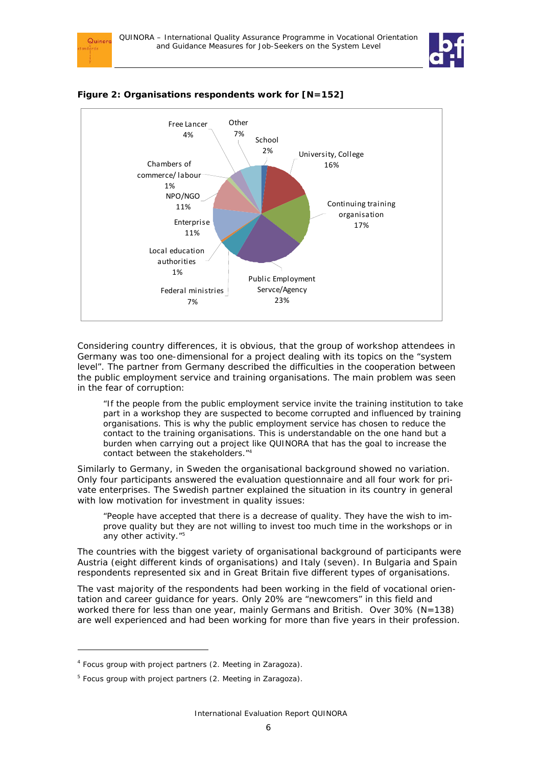



#### **Figure 2: Organisations respondents work for [N=152]**

Quinor

Considering country differences, it is obvious, that the group of workshop attendees in Germany was too one-dimensional for a project dealing with its topics on the "system level". The partner from Germany described the difficulties in the cooperation between the public employment service and training organisations. The main problem was seen in the fear of corruption:

"If the people from the public employment service invite the training institution to take part in a workshop they are suspected to become corrupted and influenced by training organisations. This is why the public employment service has chosen to reduce the contact to the training organisations. This is understandable on the one hand but a burden when carrying out a project like QUINORA that has the goal to increase the contact between the stakeholders."4

Similarly to Germany, in Sweden the organisational background showed no variation. Only four participants answered the evaluation questionnaire and all four work for private enterprises. The Swedish partner explained the situation in its country in general with low motivation for investment in quality issues:

"People have accepted that there is a decrease of quality. They have the wish to improve quality but they are not willing to invest too much time in the workshops or in any other activity."<sup>5</sup>

The countries with the biggest variety of organisational background of participants were Austria (eight different kinds of organisations) and Italy (seven). In Bulgaria and Spain respondents represented six and in Great Britain five different types of organisations.

The vast majority of the respondents had been working in the field of vocational orientation and career guidance for years. Only 20% are "newcomers" in this field and worked there for less than one year, mainly Germans and British. Over 30% (N=138) are well experienced and had been working for more than five years in their profession.

-

<sup>&</sup>lt;sup>4</sup> Focus group with project partners (2. Meeting in Zaragoza).

<sup>&</sup>lt;sup>5</sup> Focus group with project partners (2. Meeting in Zaragoza).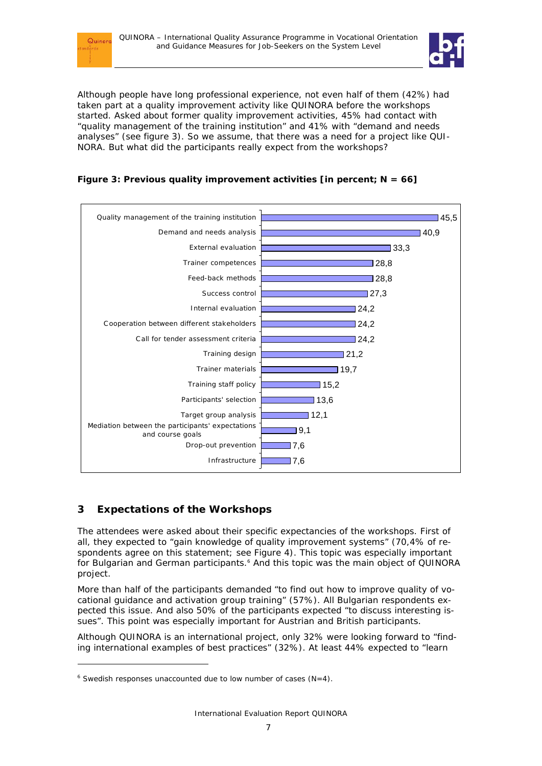



Although people have long professional experience, not even half of them (42%) had taken part at a quality improvement activity like QUINORA before the workshops started. Asked about former quality improvement activities, 45% had contact with "quality management of the training institution" and 41% with "demand and needs analyses" (see figure 3). So we assume, that there was a need for a project like QUI-NORA. But what did the participants really expect from the workshops?





## **3 Expectations of the Workshops**

-

The attendees were asked about their specific expectancies of the workshops. First of all, they expected to "gain knowledge of quality improvement systems" (70,4% of respondents agree on this statement; see Figure 4). This topic was especially important for Bulgarian and German participants.<sup>6</sup> And this topic was the main object of QUINORA project.

More than half of the participants demanded "to find out how to improve quality of vocational guidance and activation group training" (57%). All Bulgarian respondents expected this issue. And also 50% of the participants expected "to discuss interesting issues". This point was especially important for Austrian and British participants.

Although QUINORA is an international project, only 32% were looking forward to "finding international examples of best practices" (32%). At least 44% expected to "learn

 $6$  Swedish responses unaccounted due to low number of cases (N=4).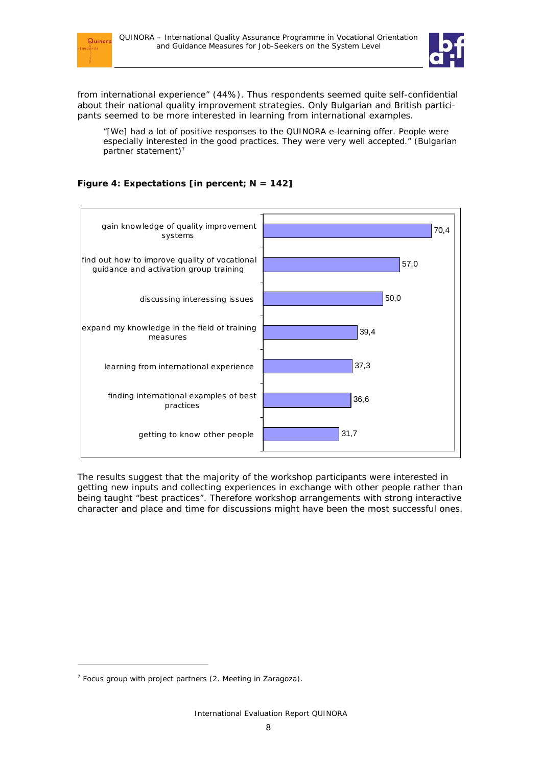



from international experience" (44%). Thus respondents seemed quite self-confidential about their national quality improvement strategies. Only Bulgarian and British participants seemed to be more interested in learning from international examples.

"[We] had a lot of positive responses to the QUINORA e-learning offer. People were especially interested in the good practices. They were very well accepted." (Bulgarian partner statement)<sup>7</sup>



## **Figure 4: Expectations [in percent; N = 142]**

The results suggest that the majority of the workshop participants were interested in getting new inputs and collecting experiences in exchange with other people rather than being taught "best practices". Therefore workshop arrangements with strong interactive character and place and time for discussions might have been the most successful ones.

-

 $7$  Focus group with project partners (2. Meeting in Zaragoza).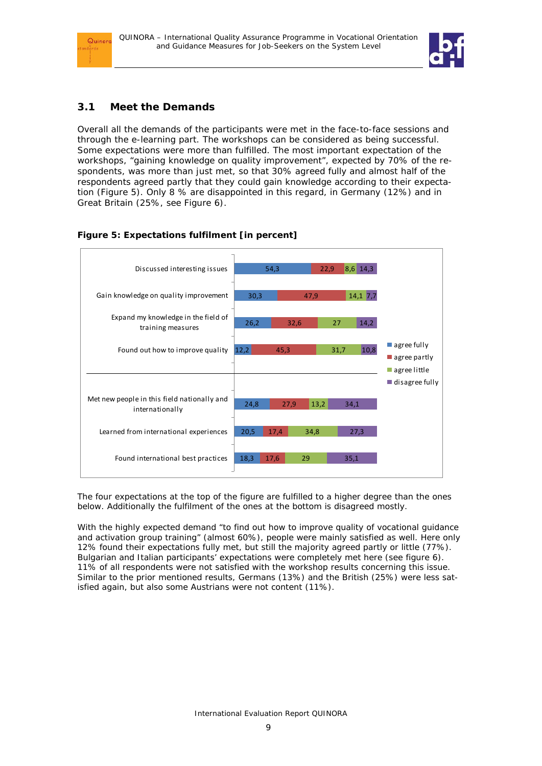



## **3.1 Meet the Demands**

Overall all the demands of the participants were met in the face-to-face sessions and through the e-learning part. The workshops can be considered as being successful. Some expectations were more than fulfilled. The most important expectation of the workshops, "gaining knowledge on quality improvement", expected by 70% of the respondents, was more than just met, so that 30% agreed fully and almost half of the respondents agreed partly that they could gain knowledge according to their expectation (Figure 5). Only 8 % are disappointed in this regard, in Germany (12%) and in Great Britain (25%, see Figure 6).

## **Figure 5: Expectations fulfilment [in percent]**



*The four expectations at the top of the figure are fulfilled to a higher degree than the ones below. Additionally the fulfilment of the ones at the bottom is disagreed mostly.* 

With the highly expected demand "to find out how to improve quality of vocational guidance and activation group training" (almost 60%), people were mainly satisfied as well. Here only 12% found their expectations fully met, but still the majority agreed partly or little (77%). Bulgarian and Italian participants' expectations were completely met here (see figure 6). 11% of all respondents were not satisfied with the workshop results concerning this issue. Similar to the prior mentioned results, Germans (13%) and the British (25%) were less satisfied again, but also some Austrians were not content (11%).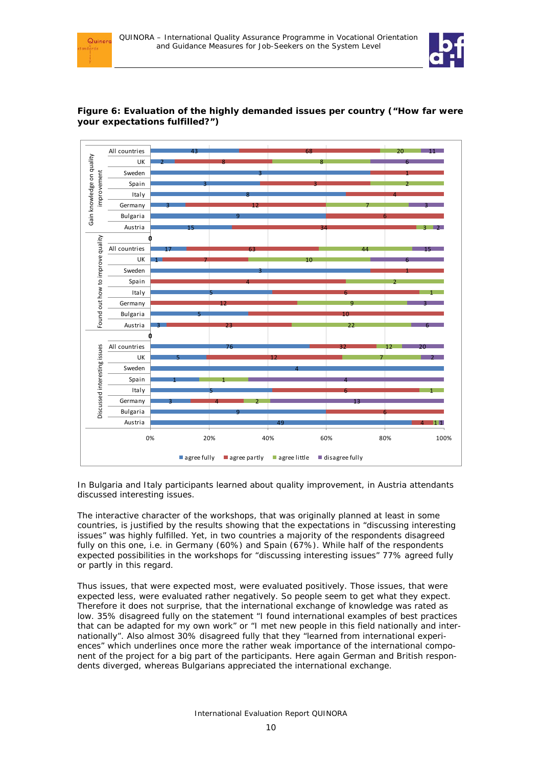



### **Figure 6: Evaluation of the highly demanded issues per country ("How far were your expectations fulfilled?")**

*In Bulgaria and Italy participants learned about quality improvement, in Austria attendants discussed interesting issues.* 

The interactive character of the workshops, that was originally planned at least in some countries, is justified by the results showing that the expectations in "discussing interesting issues" was highly fulfilled. Yet, in two countries a majority of the respondents disagreed fully on this one, i.e. in Germany (60%) and Spain (67%). While half of the respondents expected possibilities in the workshops for "discussing interesting issues" 77% agreed fully or partly in this regard.

Thus issues, that were expected most, were evaluated positively. Those issues, that were expected less, were evaluated rather negatively. So people seem to get what they expect. Therefore it does not surprise, that the international exchange of knowledge was rated as low. 35% disagreed fully on the statement "I found international examples of best practices that can be adapted for my own work" or "I met new people in this field nationally and internationally". Also almost 30% disagreed fully that they "learned from international experiences" which underlines once more the rather weak importance of the international component of the project for a big part of the participants. Here again German and British respondents diverged, whereas Bulgarians appreciated the international exchange.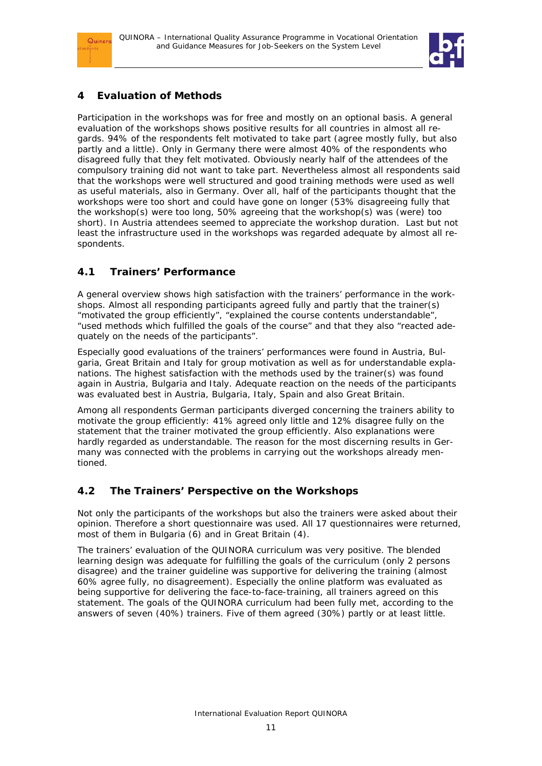



## **4 Evaluation of Methods**

Participation in the workshops was for free and mostly on an optional basis. A general evaluation of the workshops shows positive results for all countries in almost all regards. 94% of the respondents felt motivated to take part (agree mostly fully, but also partly and a little). Only in Germany there were almost 40% of the respondents who disagreed fully that they felt motivated. Obviously nearly half of the attendees of the compulsory training did not want to take part. Nevertheless almost all respondents said that the workshops were well structured and good training methods were used as well as useful materials, also in Germany. Over all, half of the participants thought that the workshops were too short and could have gone on longer (53% disagreeing fully that the workshop(s) were too long, 50% agreeing that the workshop(s) was (were) too short). In Austria attendees seemed to appreciate the workshop duration. Last but not least the infrastructure used in the workshops was regarded adequate by almost all respondents.

## **4.1 Trainers' Performance**

A general overview shows high satisfaction with the trainers' performance in the workshops. Almost all responding participants agreed fully and partly that the trainer(s) "motivated the group efficiently", "explained the course contents understandable", "used methods which fulfilled the goals of the course" and that they also "reacted adequately on the needs of the participants".

Especially good evaluations of the trainers' performances were found in Austria, Bulgaria, Great Britain and Italy for group motivation as well as for understandable explanations. The highest satisfaction with the methods used by the trainer(s) was found again in Austria, Bulgaria and Italy. Adequate reaction on the needs of the participants was evaluated best in Austria, Bulgaria, Italy, Spain and also Great Britain.

Among all respondents German participants diverged concerning the trainers ability to motivate the group efficiently: 41% agreed only little and 12% disagree fully on the statement that the trainer motivated the group efficiently. Also explanations were hardly regarded as understandable. The reason for the most discerning results in Germany was connected with the problems in carrying out the workshops already mentioned.

## **4.2 The Trainers' Perspective on the Workshops**

Not only the participants of the workshops but also the trainers were asked about their opinion. Therefore a short questionnaire was used. All 17 questionnaires were returned, most of them in Bulgaria (6) and in Great Britain (4).

The trainers' evaluation of the QUINORA curriculum was very positive. The blended learning design was adequate for fulfilling the goals of the curriculum (only 2 persons disagree) and the trainer guideline was supportive for delivering the training (almost 60% agree fully, no disagreement). Especially the online platform was evaluated as being supportive for delivering the face-to-face-training, all trainers agreed on this statement. The goals of the QUINORA curriculum had been fully met, according to the answers of seven (40%) trainers. Five of them agreed (30%) partly or at least little.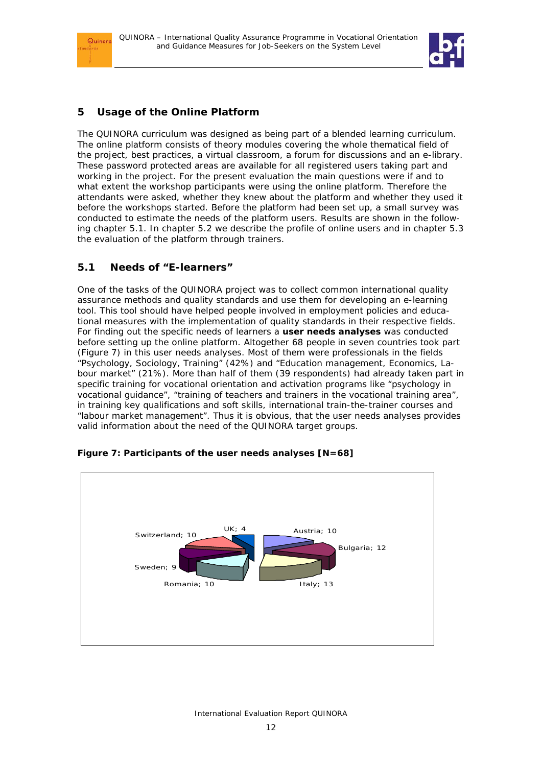



## **5 Usage of the Online Platform**

The QUINORA curriculum was designed as being part of a blended learning curriculum. The online platform consists of theory modules covering the whole thematical field of the project, best practices, a virtual classroom, a forum for discussions and an e-library. These password protected areas are available for all registered users taking part and working in the project. For the present evaluation the main questions were if and to what extent the workshop participants were using the online platform. Therefore the attendants were asked, whether they knew about the platform and whether they used it before the workshops started. Before the platform had been set up, a small survey was conducted to estimate the needs of the platform users. Results are shown in the following chapter 5.1. In chapter 5.2 we describe the profile of online users and in chapter 5.3 the evaluation of the platform through trainers.

## **5.1 Needs of "E-learners"**

One of the tasks of the QUINORA project was to collect common international quality assurance methods and quality standards and use them for developing an e-learning tool. This tool should have helped people involved in employment policies and educational measures with the implementation of quality standards in their respective fields. For finding out the specific needs of learners a **user needs analyses** was conducted before setting up the online platform. Altogether 68 people in seven countries took part (Figure 7) in this user needs analyses. Most of them were professionals in the fields "Psychology, Sociology, Training" (42%) and "Education management, Economics, Labour market" (21%). More than half of them (39 respondents) had already taken part in specific training for vocational orientation and activation programs like "psychology in vocational guidance", "training of teachers and trainers in the vocational training area", in training key qualifications and soft skills, international train-the-trainer courses and "labour market management". Thus it is obvious, that the user needs analyses provides valid information about the need of the QUINORA target groups.



### **Figure 7: Participants of the user needs analyses [N=68]**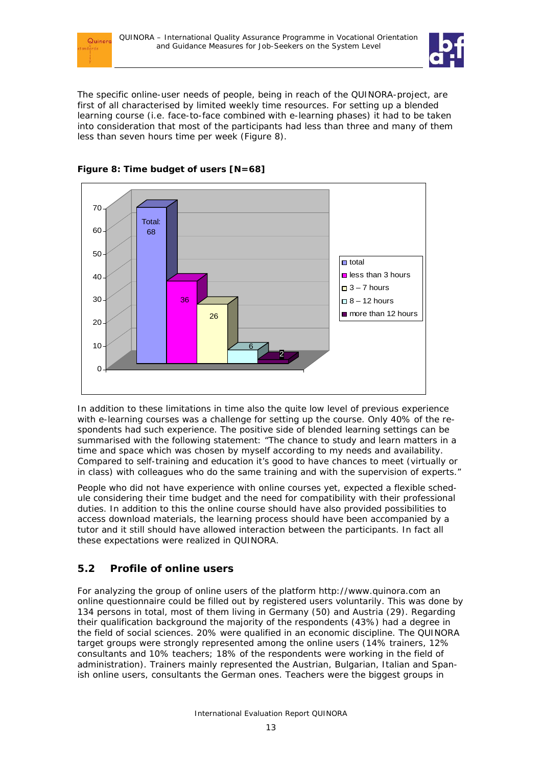



The specific online-user needs of people, being in reach of the QUINORA-project, are first of all characterised by limited weekly time resources. For setting up a blended learning course (i.e. face-to-face combined with e-learning phases) it had to be taken into consideration that most of the participants had less than three and many of them less than seven hours time *per week* (Figure 8).





In addition to these limitations in time also the quite low level of previous experience with e-learning courses was a challenge for setting up the course. Only 40% of the respondents had such experience. The positive side of blended learning settings can be summarised with the following statement: "The chance to study and learn matters in a time and space which was chosen by myself according to my needs and availability. Compared to self-training and education it's good to have chances to meet (virtually or in class) with colleagues who do the same training and with the supervision of experts."

People who did not have experience with online courses yet, expected a flexible schedule considering their time budget and the need for compatibility with their professional duties. In addition to this the online course should have also provided possibilities to access download materials, the learning process should have been accompanied by a tutor and it still should have allowed interaction between the participants. In fact all these expectations were realized in QUINORA.

## **5.2 Profile of online users**

For analyzing the group of online users of the platform http://www.quinora.com an online questionnaire could be filled out by registered users voluntarily. This was done by 134 persons in total, most of them living in Germany (50) and Austria (29). Regarding their qualification background the majority of the respondents (43%) had a degree in the field of social sciences. 20% were qualified in an economic discipline. The QUINORA target groups were strongly represented among the online users (14% trainers, 12% consultants and 10% teachers; 18% of the respondents were working in the field of administration). Trainers mainly represented the Austrian, Bulgarian, Italian and Spanish online users, consultants the German ones. Teachers were the biggest groups in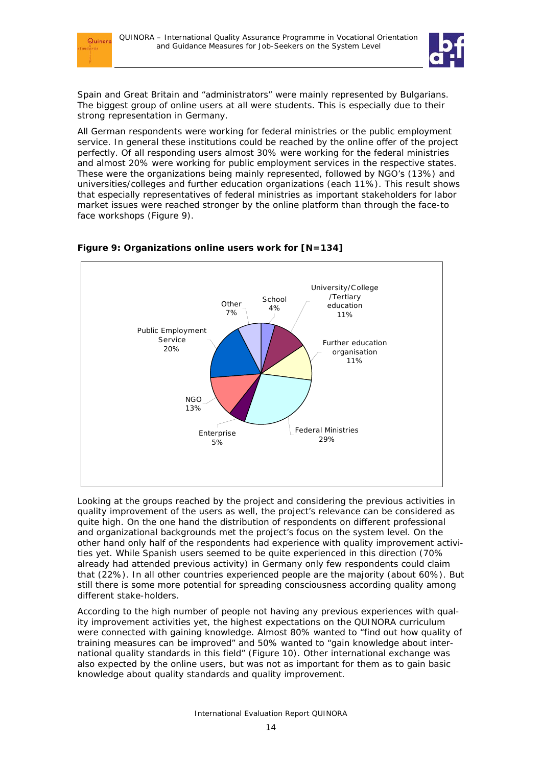



Spain and Great Britain and "administrators" were mainly represented by Bulgarians. The biggest group of online users at all were students. This is especially due to their strong representation in Germany.

All German respondents were working for federal ministries or the public employment service. In general these institutions could be reached by the online offer of the project perfectly. Of all responding users almost 30% were working for the federal ministries and almost 20% were working for public employment services in the respective states. These were the organizations being mainly represented, followed by NGO's (13%) and universities/colleges and further education organizations (each 11%). This result shows that especially representatives of federal ministries as important stakeholders for labor market issues were reached stronger by the online platform than through the face-to face workshops (Figure 9).



### **Figure 9: Organizations online users work for [N=134]**

Looking at the groups reached by the project and considering the previous activities in quality improvement of the users as well, the project's relevance can be considered as quite high. On the one hand the distribution of respondents on different professional and organizational backgrounds met the project's focus on the system level. On the other hand only half of the respondents had experience with quality improvement activities yet. While Spanish users seemed to be quite experienced in this direction (70% already had attended previous activity) in Germany only few respondents could claim that (22%). In all other countries experienced people are the majority (about 60%). But still there is some more potential for spreading consciousness according quality among different stake-holders.

According to the high number of people not having any previous experiences with quality improvement activities yet, the highest expectations on the QUINORA curriculum were connected with gaining knowledge. Almost 80% wanted to "find out how quality of training measures can be improved" and 50% wanted to "gain knowledge about international quality standards in this field" (Figure 10). Other international exchange was also expected by the online users, but was not as important for them as to gain basic knowledge about quality standards and quality improvement.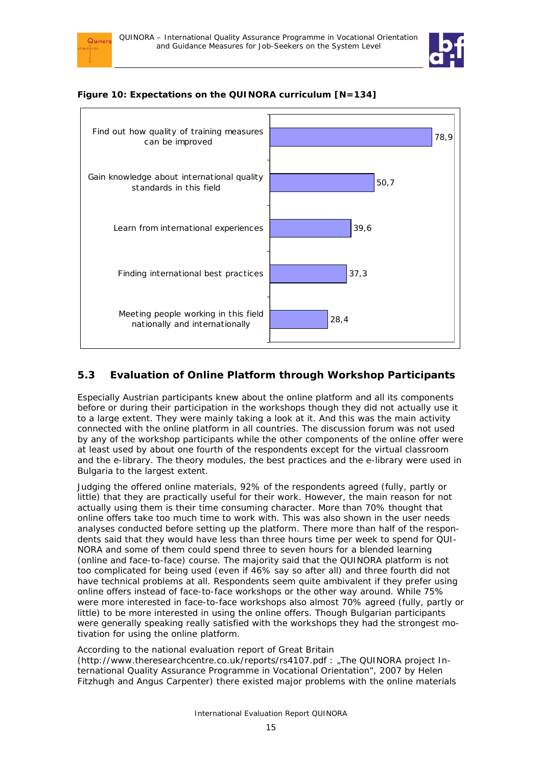







## **5.3 Evaluation of Online Platform through Workshop Participants**

Especially Austrian participants knew about the online platform and all its components before or during their participation in the workshops though they did not actually use it to a large extent. They were mainly taking a look at it. And this was the main activity connected with the online platform in all countries. The discussion forum was not used by any of the workshop participants while the other components of the online offer were at least used by about one fourth of the respondents except for the virtual classroom and the e-library. The theory modules, the best practices and the e-library were used in Bulgaria to the largest extent.

Judging the offered online materials, 92% of the respondents agreed (fully, partly or little) that they are practically useful for their work. However, the main reason for not actually using them is their time consuming character. More than 70% thought that online offers take too much time to work with. This was also shown in the user needs analyses conducted before setting up the platform. There more than half of the respondents said that they would have less than three hours time per week to spend for QUI-NORA and some of them could spend three to seven hours for a blended learning (online *and* face-to-face) course. The majority said that the QUINORA platform is not too complicated for being used (even if 46% say so after all) and three fourth did not have technical problems at all. Respondents seem quite ambivalent if they prefer using online offers instead of face-to-face workshops or the other way around. While 75% were more interested in face-to-face workshops also almost 70% agreed (fully, partly or little) to be more interested in using the online offers. Though Bulgarian participants were generally speaking really satisfied with the workshops they had the strongest motivation for using the online platform.

According to the national evaluation report of Great Britain

(http://www.theresearchcentre.co.uk/reports/rs4107.pdf : "The QUINORA project International Quality Assurance Programme in Vocational Orientation", 2007 by Helen Fitzhugh and Angus Carpenter) there existed major problems with the online materials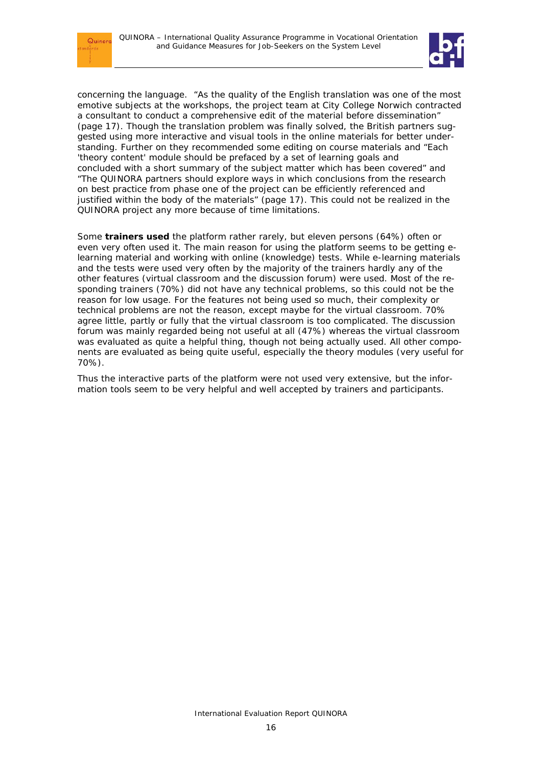$Quiner$ 



concerning the language. "As the quality of the English translation was one of the most emotive subjects at the workshops, the project team at City College Norwich contracted a consultant to conduct a comprehensive edit of the material before dissemination" (page 17). Though the translation problem was finally solved, the British partners suggested using more interactive and visual tools in the online materials for better understanding. Further on they recommended some editing on course materials and "Each 'theory content' module should be prefaced by a set of learning goals and concluded with a short summary of the subject matter which has been covered" and "The QUINORA partners should explore ways in which conclusions from the research on best practice from phase one of the project can be efficiently referenced and justified within the body of the materials" (page 17). This could not be realized in the QUINORA project any more because of time limitations.

Some **trainers used** the platform rather rarely, but eleven persons (64%) often or even very often used it. The main reason for using the platform seems to be getting elearning material and working with online (knowledge) tests. While e-learning materials and the tests were used very often by the majority of the trainers hardly any of the other features (virtual classroom and the discussion forum) were used. Most of the responding trainers (70%) did not have any technical problems, so this could not be the reason for low usage. For the features not being used so much, their complexity or technical problems are not the reason, except maybe for the virtual classroom. 70% agree little, partly or fully that the virtual classroom is too complicated. The discussion forum was mainly regarded being not useful at all (47%) whereas the virtual classroom was evaluated as quite a helpful thing, though not being actually used. All other components are evaluated as being quite useful, especially the theory modules (very useful for 70%).

Thus the interactive parts of the platform were not used very extensive, but the information tools seem to be very helpful and well accepted by trainers and participants.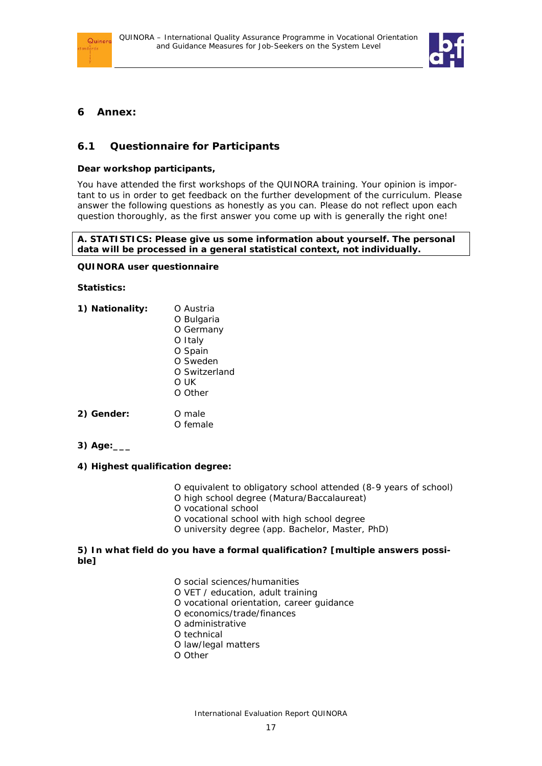



## **6 Annex:**

## **6.1 Questionnaire for Participants**

#### **Dear workshop participants,**

You have attended the first workshops of the QUINORA training. Your opinion is important to us in order to get feedback on the further development of the curriculum. Please answer the following questions as honestly as you can. Please do not reflect upon each question thoroughly, as the first answer you come up with is generally the right one!

#### **A. STATISTICS: Please give us some information about yourself. The personal data will be processed in a general statistical context, not individually.**

#### **QUINORA user questionnaire**

#### **Statistics:**

- 1) **Nationality:** O Austria O Bulgaria O Germany O Italy O Spain O Sweden O Switzerland O UK O Other **2) Gender:** O male
- O female
- **3) Age:\_\_\_**

### **4) Highest qualification degree:**

- O equivalent to obligatory school attended (8-9 years of school)
- O high school degree (Matura/Baccalaureat)
- O vocational school
- O vocational school with high school degree
- O university degree (app. Bachelor, Master, PhD)

#### **5) In what field do you have a formal qualification? [multiple answers possible]**

- O social sciences/humanities
- O VET / education, adult training
- O vocational orientation, career guidance
- O economics/trade/finances
- O administrative
- O technical
- O law/legal matters
- O Other

International Evaluation Report QUINORA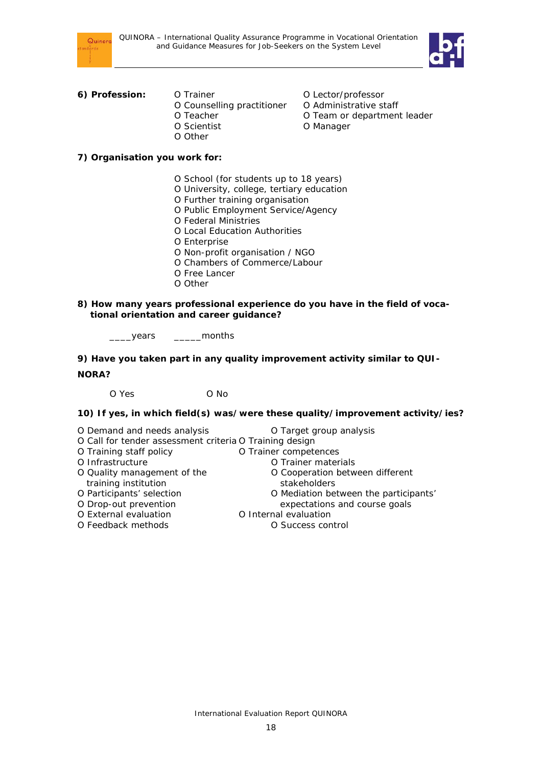



## **6) Profession:** O Trainer **O Lector/professor**

- O Counselling practitioner O Administrative staff O Teacher **O** Team or department leader O Scientist O Manager O Other
- -
	-
	-

### **7) Organisation you work for:**

- O School (for students up to 18 years)
- O University, college, tertiary education
- O Further training organisation
- O Public Employment Service/Agency
- O Federal Ministries
- O Local Education Authorities
- O Enterprise
- O Non-profit organisation / NGO
- O Chambers of Commerce/Labour
- O Free Lancer
- O Other
- **8) How many years professional experience do you have in the field of vocational orientation and career guidance?**

\_\_\_\_years \_\_\_\_\_months

**9) Have you taken part in any quality improvement activity similar to QUI-NORA?** 

O Yes O No

**10) If yes, in which field(s) was/were these quality/improvement activity/ies?**

- O Demand and needs analysis **O** Target group analysis
- O Call for tender assessment criteria O Training design
- O Training staff policy **O Trainer competences**
- O Infrastructure **O** Trainer materials
- O Quality management of the **O** Cooperation between different
- training institution example in training institution<br>
O Participants' selection on the Communication of Communication be
- O Drop-out prevention expectations and course goals
- O External evaluation C Internal evaluation<br>
O Feedback methods C Success con
- 

O Mediation between the participants'

- 
- O Success control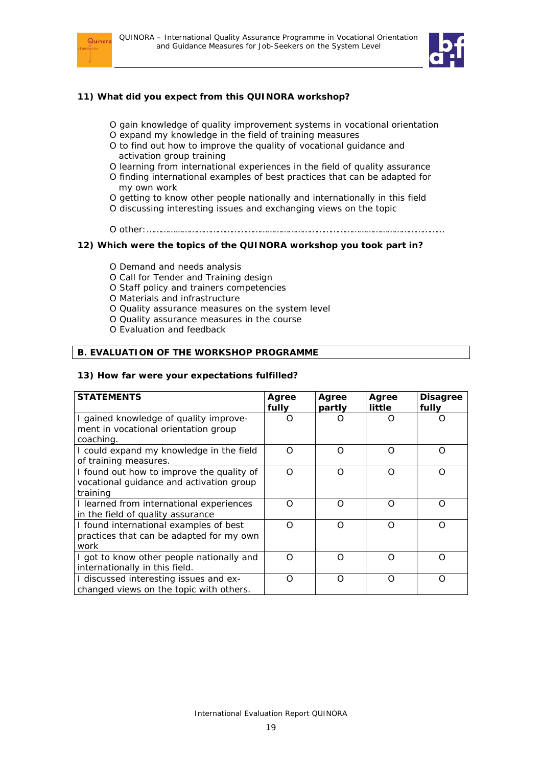



#### **11) What did you expect from this QUINORA workshop?**

- O gain knowledge of quality improvement systems in vocational orientation
	- O expand my knowledge in the field of training measures
	- O to find out how to improve the quality of vocational guidance and activation group training
	- O learning from international experiences in the field of quality assurance
- O finding international examples of best practices that can be adapted for my own work
- O getting to know other people nationally and internationally in this field
- O discussing interesting issues and exchanging views on the topic
- O other:………………………………………………………………………………………………………………

#### **12) Which were the topics of the QUINORA workshop you took part in?**

- O Demand and needs analysis
- O Call for Tender and Training design
- O Staff policy and trainers competencies
- O Materials and infrastructure
- O Quality assurance measures on the system level
- O Quality assurance measures in the course
- O Evaluation and feedback

### **B. EVALUATION OF THE WORKSHOP PROGRAMME**

#### **13) How far were your expectations fulfilled?**

| <b>STATEMENTS</b>                                                                                 | Agree<br>fully | Agree<br>partly | Agree<br>little | <b>Disagree</b><br>fully |
|---------------------------------------------------------------------------------------------------|----------------|-----------------|-----------------|--------------------------|
| I gained knowledge of quality improve-<br>ment in vocational orientation group<br>coaching.       | ∩              | O               | ∩               |                          |
| I could expand my knowledge in the field<br>of training measures.                                 | $\Omega$       | $\Omega$        | O               | ∩                        |
| I found out how to improve the quality of<br>vocational guidance and activation group<br>training | $\Omega$       | O               | Ω               | ∩                        |
| I learned from international experiences<br>in the field of quality assurance                     | ∩              | ∩               | Ω               | ∩                        |
| I found international examples of best<br>practices that can be adapted for my own<br>work        | $\Omega$       | $\Omega$        | ∩               | ∩                        |
| I got to know other people nationally and<br>internationally in this field.                       | ∩              | ∩               | ∩               | ∩                        |
| I discussed interesting issues and ex-<br>changed views on the topic with others.                 | $\Omega$       | ∩               | O               | ∩                        |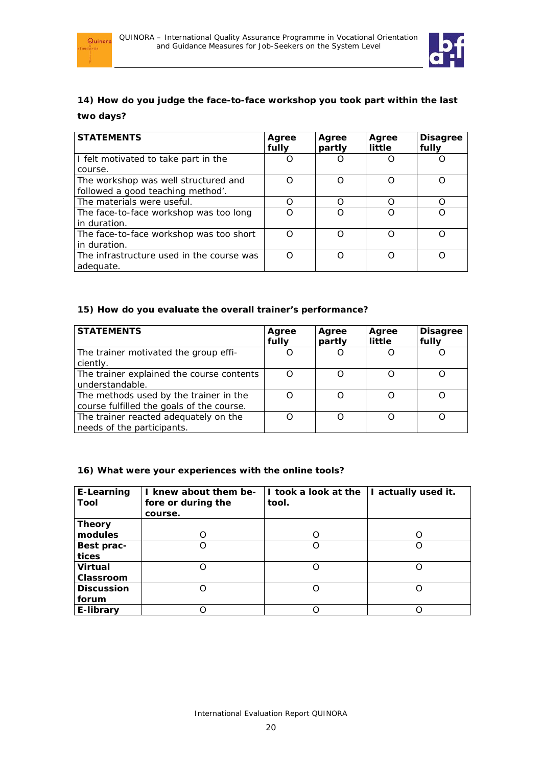



## **14) How do you judge the face-to-face workshop you took part within the last two days?**

| <b>STATEMENTS</b>                                       | Agree<br>fully | Agree<br>partly | Agree<br>little | <b>Disagree</b><br>fully |
|---------------------------------------------------------|----------------|-----------------|-----------------|--------------------------|
| I felt motivated to take part in the                    |                |                 |                 |                          |
| course.                                                 |                |                 |                 |                          |
| The workshop was well structured and                    |                | O               |                 |                          |
| followed a good teaching method'.                       |                |                 |                 |                          |
| The materials were useful.                              | ∩              | ∩               | ∩               | ∩                        |
| The face-to-face workshop was too long<br>in duration.  |                | ∩               |                 |                          |
| The face-to-face workshop was too short<br>in duration. | ∩              | ∩               |                 |                          |
| The infrastructure used in the course was<br>adequate.  |                | ∩               | ∩               | ∩                        |

#### **15) How do you evaluate the overall trainer's performance?**

| <b>STATEMENTS</b>                                                                   | Agree<br>fully | Agree<br>partly | Agree<br>little | <b>Disagree</b><br>fully |
|-------------------------------------------------------------------------------------|----------------|-----------------|-----------------|--------------------------|
| The trainer motivated the group effi-<br>ciently.                                   |                |                 |                 |                          |
| The trainer explained the course contents<br>understandable.                        |                | ∩               |                 |                          |
| The methods used by the trainer in the<br>course fulfilled the goals of the course. |                | ∩               |                 |                          |
| The trainer reacted adequately on the<br>needs of the participants.                 |                | ∩               |                 |                          |

### **16) What were your experiences with the online tools?**

| E-Learning<br>Tool | I knew about them be-<br>fore or during the | I took a look at the<br>tool. | I actually used it. |
|--------------------|---------------------------------------------|-------------------------------|---------------------|
|                    | course.                                     |                               |                     |
| <b>Theory</b>      |                                             |                               |                     |
| modules            | O                                           |                               |                     |
| Best prac-         | Ω                                           |                               |                     |
| tices              |                                             |                               |                     |
| <b>Virtual</b>     | Ω                                           |                               |                     |
| Classroom          |                                             |                               |                     |
| <b>Discussion</b>  | ∩                                           | ∩                             |                     |
| forum              |                                             |                               |                     |
| E-library          |                                             |                               |                     |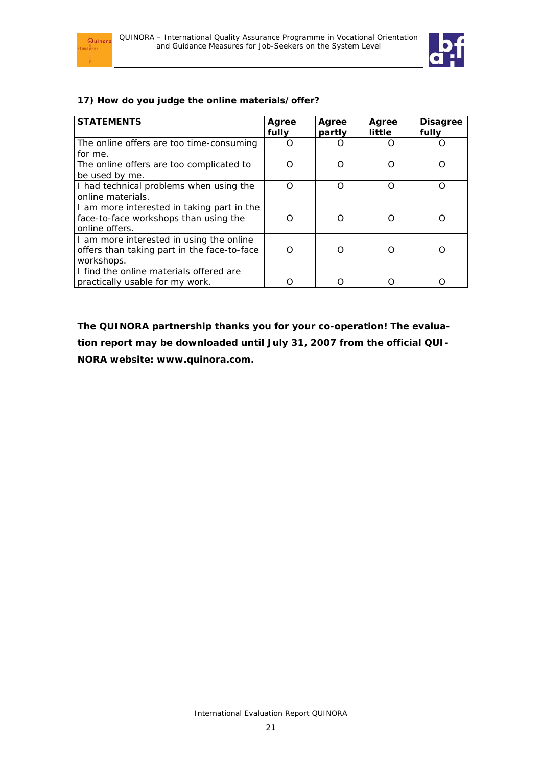



### **17) How do you judge the online materials/offer?**

| <b>STATEMENTS</b>                                                                   | Agree<br>fully | Agree<br>partly  | Agree<br>little | <b>Disagree</b><br>fully |
|-------------------------------------------------------------------------------------|----------------|------------------|-----------------|--------------------------|
| The online offers are too time-consuming                                            | ∩              | $\left( \right)$ | ( )             |                          |
| for me.                                                                             |                |                  |                 |                          |
| The online offers are too complicated to                                            | ∩              | ∩                | Ω               |                          |
| be used by me.                                                                      |                |                  |                 |                          |
| I had technical problems when using the                                             | ∩              | Ω                | ∩               |                          |
| online materials.                                                                   |                |                  |                 |                          |
| I am more interested in taking part in the<br>face-to-face workshops than using the | ∩              | ∩                | ∩               |                          |
| online offers.                                                                      |                |                  |                 |                          |
| I am more interested in using the online                                            |                |                  |                 |                          |
| offers than taking part in the face-to-face                                         | ∩              | ∩                | 0               |                          |
| workshops.                                                                          |                |                  |                 |                          |
| I find the online materials offered are                                             |                |                  |                 |                          |
| practically usable for my work.                                                     |                |                  |                 |                          |

**The QUINORA partnership thanks you for your co-operation! The evaluation report may be downloaded until July 31, 2007 from the official QUI-NORA website: www.quinora.com.**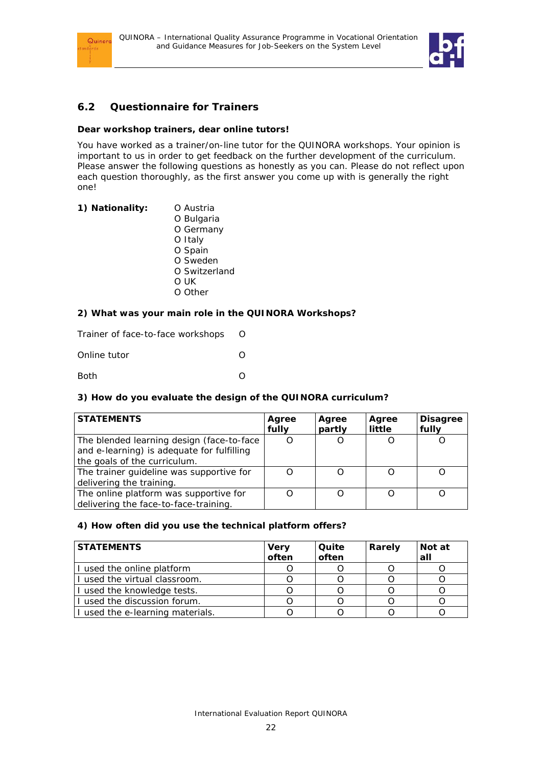



## **6.2 Questionnaire for Trainers**

### **Dear workshop trainers, dear online tutors!**

You have worked as a trainer/on-line tutor for the QUINORA workshops. Your opinion is important to us in order to get feedback on the further development of the curriculum. Please answer the following questions as honestly as you can. Please do not reflect upon each question thoroughly, as the first answer you come up with is generally the right one!

| 1) Nationality: | O Austria     |
|-----------------|---------------|
|                 | O Bulgaria    |
|                 | O Germany     |
|                 | O Italy       |
|                 | O Spain       |
|                 | O Sweden      |
|                 | O Switzerland |
|                 | O UK          |
|                 | O Other       |
|                 |               |

### **2) What was your main role in the QUINORA Workshops?**

Trainer of face-to-face workshops O Online tutor O

Both O

### **3) How do you evaluate the design of the QUINORA curriculum?**

| <b>STATEMENTS</b>                                                                                                        | Agree<br>fully | Agree<br>partly | Agree<br>little | <b>Disagree</b><br>fully |
|--------------------------------------------------------------------------------------------------------------------------|----------------|-----------------|-----------------|--------------------------|
| The blended learning design (face-to-face)<br>and e-learning) is adequate for fulfilling<br>the goals of the curriculum. |                |                 |                 |                          |
| The trainer guideline was supportive for<br>delivering the training.                                                     |                |                 |                 |                          |
| The online platform was supportive for<br>delivering the face-to-face-training.                                          |                |                 |                 |                          |

### **4) How often did you use the technical platform offers?**

| <b>STATEMENTS</b>                | <b>Very</b><br>often | Quite<br>often | Rarely | Not at<br>all |
|----------------------------------|----------------------|----------------|--------|---------------|
| I used the online platform       |                      |                |        |               |
| I used the virtual classroom.    |                      |                |        |               |
| I used the knowledge tests.      |                      |                |        |               |
| I used the discussion forum.     |                      |                |        |               |
| I used the e-learning materials. |                      |                |        |               |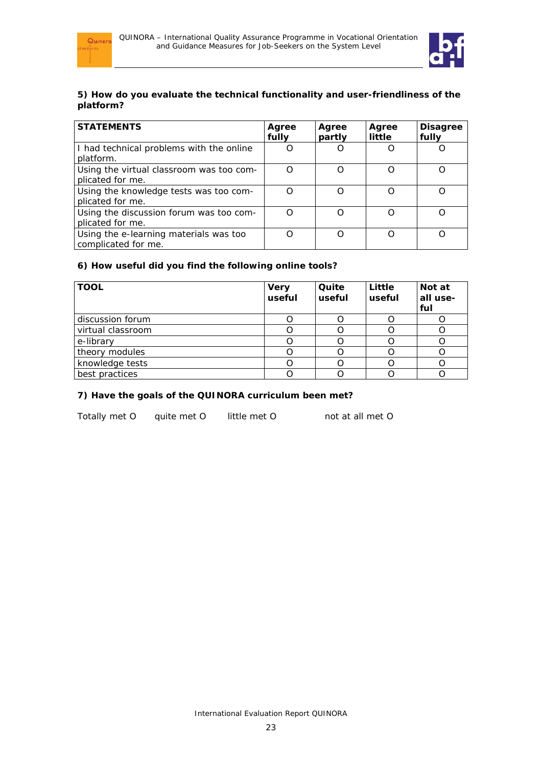



### **5) How do you evaluate the technical functionality and user-friendliness of the platform?**

| <b>STATEMENTS</b>                                             | Agree<br>fully | Agree<br>partly | Agree<br>little | <b>Disagree</b><br>fully |
|---------------------------------------------------------------|----------------|-----------------|-----------------|--------------------------|
| I had technical problems with the online<br>platform.         |                |                 |                 |                          |
| Using the virtual classroom was too com-<br>plicated for me.  | ∩              | Ω               |                 |                          |
| Using the knowledge tests was too com-<br>plicated for me.    |                | ∩               | O               |                          |
| Using the discussion forum was too com-<br>plicated for me.   |                | Ω               | Ω               |                          |
| Using the e-learning materials was too<br>complicated for me. |                | ∩               | ∩               | ∩                        |

### **6) How useful did you find the following online tools?**

| <b>TOOL</b>       | <b>Very</b><br>useful | Quite<br>useful | Little<br>useful | Not at<br>all use-<br>ful |
|-------------------|-----------------------|-----------------|------------------|---------------------------|
| discussion forum  |                       |                 |                  |                           |
| virtual classroom |                       |                 |                  |                           |
| e-library         |                       |                 |                  |                           |
| theory modules    |                       |                 |                  |                           |
| knowledge tests   |                       |                 |                  |                           |
| best practices    |                       |                 |                  |                           |

### **7) Have the goals of the QUINORA curriculum been met?**

Totally met O quite met O little met O not at all met O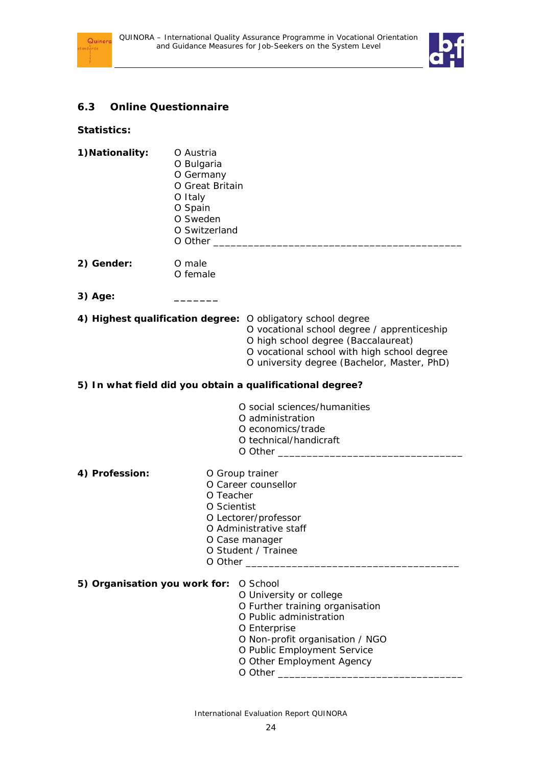



## **6.3 Online Questionnaire**

**Statistics:** 

| 1) Nationality:               | O Austria<br>O Bulgaria<br>O Germany<br>O Great Britain<br>O Italy<br>O Spain<br>O Sweden<br>O Switzerland                                                                                                                                      |  |  |  |  |  |
|-------------------------------|-------------------------------------------------------------------------------------------------------------------------------------------------------------------------------------------------------------------------------------------------|--|--|--|--|--|
| 2) Gender:                    | O male<br>O female                                                                                                                                                                                                                              |  |  |  |  |  |
| 3) Age:                       |                                                                                                                                                                                                                                                 |  |  |  |  |  |
|                               | 4) Highest qualification degree: O obligatory school degree<br>O vocational school degree / apprenticeship<br>O high school degree (Baccalaureat)<br>O vocational school with high school degree<br>O university degree (Bachelor, Master, PhD) |  |  |  |  |  |
|                               | 5) In what field did you obtain a qualificational degree?                                                                                                                                                                                       |  |  |  |  |  |
|                               | O social sciences/humanities<br>O administration<br>O economics/trade<br>O technical/handicraft                                                                                                                                                 |  |  |  |  |  |
| 4) Profession:                | O Group trainer<br>O Career counsellor<br>O Teacher<br>O Scientist<br>O Lectorer/professor<br>O Administrative staff<br>O Case manager<br>O Student / Trainee<br>O Other                                                                        |  |  |  |  |  |
| 5) Organisation you work for: | O School<br>O University or college<br>O Further training organisation<br>O Public administration<br>O Enterprise<br>O Non-profit organisation / NGO<br>O Public Employment Service<br>O Other Employment Agency                                |  |  |  |  |  |

 $O$  Other  $\_\_$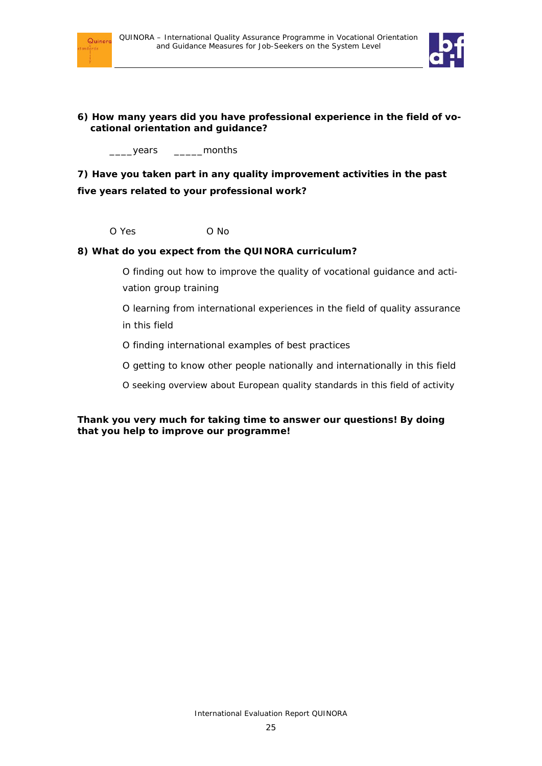



### **6) How many years did you have professional experience in the field of vocational orientation and guidance?**

\_\_\_\_years \_\_\_\_\_months

**7) Have you taken part in any quality improvement activities in the past five years related to your professional work?** 

O Yes O No

### **8) What do you expect from the QUINORA curriculum?**

- O finding out how to improve the quality of vocational guidance and activation group training
- O learning from international experiences in the field of quality assurance in this field
- O finding international examples of best practices
- O getting to know other people nationally and internationally in this field
- O seeking overview about European quality standards in this field of activity

### **Thank you very much for taking time to answer our questions! By doing that you help to improve our programme!**